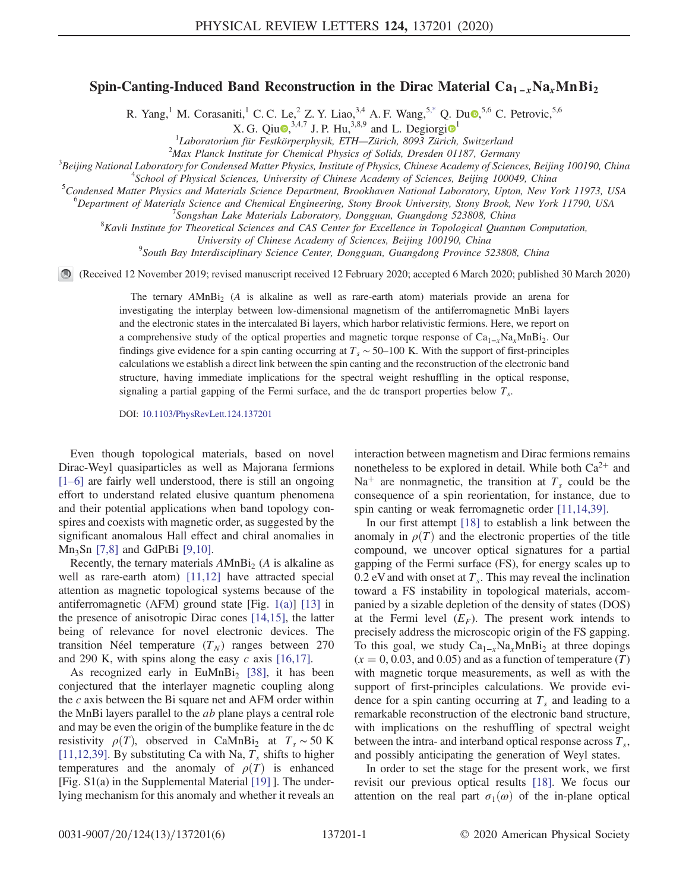## <span id="page-0-0"></span>Spin-Canting-Induced Band Reconstruction in the Dirac Material  $Ca_{1-x}Na_xMnBi_2$

R. Yang,<sup>1</sup> M. Corasaniti,<sup>1</sup> C. C. Le,<sup>2</sup> Z. Y. Liao,<sup>3,4</sup> A. F. Wang,<sup>[5,\\*](#page-4-0)</sup> Q. Du.<sup>5,6</sup> C. Petrovic,<sup>5,6</sup>

X. G. Qu<sup>o</sup>,<sup>3,4,7</sup> J. P. Hu,<sup>3,8,9</sup> and L. Degi
$$
o^1
$$

<sup>1</sup>Laboratorium für Festkörperphysik, ETH—Zürich, 8093 Zürich, Switzerland<br><sup>2</sup>Max Planek Institute for Chamical Physics of Solids, Dreeden 01187, Carnar

 $2$ Max Planck Institute for Chemical Physics of Solids, Dresden 01187, Germany

<sup>3</sup>Beijing National Laboratory for Condensed Matter Physics, Institute of Physics, Chinese Academy of Sciences, Beijing 100190, China

<sup>4</sup>School of Physical Sciences, University of Chinese Academy of Sciences, Beijing 100049, China

<sup>5</sup>Condensed Matter Physics and Materials Science Department, Brookhaven National Laboratory, Upton, New York 11973, USA

<sup>6</sup>Department of Materials Science and Chemical Engineering, Stony Brook University, Stony Brook, New York 11790, USA

<sup>7</sup>Songshan Lake Materials Laboratory, Dongguan, Guangdong 523808, China

 ${}^{8}$ Kavli Institute for Theoretical Sciences and CAS Center for Excellence in Topological Quantum Computation,

University of Chinese Academy of Sciences, Beijing 100190, China <sup>9</sup>

<sup>9</sup>South Bay Interdisciplinary Science Center, Dongguan, Guangdong Province 523808, China

(Received 12 November 2019; revised manuscript received 12 February 2020; accepted 6 March 2020; published 30 March 2020)

The ternary  $AMnBi<sub>2</sub>$  (A is alkaline as well as rare-earth atom) materials provide an arena for investigating the interplay between low-dimensional magnetism of the antiferromagnetic MnBi layers and the electronic states in the intercalated Bi layers, which harbor relativistic fermions. Here, we report on a comprehensive study of the optical properties and magnetic torque response of  $Ca_{1-x}Na_xMnBi_2$ . Our findings give evidence for a spin canting occurring at  $T_s \sim 50-100$  K. With the support of first-principles calculations we establish a direct link between the spin canting and the reconstruction of the electronic band structure, having immediate implications for the spectral weight reshuffling in the optical response, signaling a partial gapping of the Fermi surface, and the dc transport properties below  $T_s$ .

DOI: [10.1103/PhysRevLett.124.137201](https://doi.org/10.1103/PhysRevLett.124.137201)

Even though topological materials, based on novel Dirac-Weyl quasiparticles as well as Majorana fermions [\[1](#page-4-1)–6] are fairly well understood, there is still an ongoing effort to understand related elusive quantum phenomena and their potential applications when band topology conspires and coexists with magnetic order, as suggested by the significant anomalous Hall effect and chiral anomalies in  $Mn_3$ Sn [\[7,8\]](#page-4-2) and GdPtBi [\[9,10\].](#page-4-3)

Recently, the ternary materials  $AMnBi<sub>2</sub>$  (A is alkaline as well as rare-earth atom) [\[11,12\]](#page-4-4) have attracted special attention as magnetic topological systems because of the antiferromagnetic (AFM) ground state [Fig. [1\(a\)](#page-1-0)] [\[13\]](#page-4-5) in the presence of anisotropic Dirac cones [\[14,15\],](#page-4-6) the latter being of relevance for novel electronic devices. The transition Néel temperature  $(T_N)$  ranges between 270 and 290 K, with spins along the easy  $c$  axis [\[16,17\].](#page-4-7)

As recognized early in EuMnBi<sub>2</sub> [\[38\],](#page-5-0) it has been conjectured that the interlayer magnetic coupling along the  $c$  axis between the Bi square net and AFM order within the MnBi layers parallel to the ab plane plays a central role and may be even the origin of the bumplike feature in the dc resistivity  $\rho(T)$ , observed in CaMnBi<sub>2</sub> at  $T_s \sim 50 \text{ K}$ [\[11,12,39\]](#page-4-4). By substituting Ca with Na,  $T_s$  shifts to higher temperatures and the anomaly of  $\rho(T)$  is enhanced [Fig. S1(a) in the Supplemental Material [\[19\]](#page-4-8) ]. The underlying mechanism for this anomaly and whether it reveals an interaction between magnetism and Dirac fermions remains nonetheless to be explored in detail. While both  $Ca^{2+}$  and Na<sup>+</sup> are nonmagnetic, the transition at  $T_s$  could be the consequence of a spin reorientation, for instance, due to spin canting or weak ferromagnetic order [\[11,14,39\].](#page-4-4)

In our first attempt [\[18\]](#page-4-9) to establish a link between the anomaly in  $\rho(T)$  and the electronic properties of the title compound, we uncover optical signatures for a partial gapping of the Fermi surface (FS), for energy scales up to 0.2 eV and with onset at  $T_s$ . This may reveal the inclination toward a FS instability in topological materials, accompanied by a sizable depletion of the density of states (DOS) at the Fermi level  $(E_F)$ . The present work intends to precisely address the microscopic origin of the FS gapping. To this goal, we study  $Ca_{1-x}Na_xMnBi_2$  at three dopings  $(x = 0, 0.03, \text{ and } 0.05)$  and as a function of temperature  $(T)$ with magnetic torque measurements, as well as with the support of first-principles calculations. We provide evidence for a spin canting occurring at  $T_s$  and leading to a remarkable reconstruction of the electronic band structure, with implications on the reshuffling of spectral weight between the intra- and interband optical response across  $T_s$ , and possibly anticipating the generation of Weyl states.

In order to set the stage for the present work, we first revisit our previous optical results [\[18\].](#page-4-9) We focus our attention on the real part  $\sigma_1(\omega)$  of the in-plane optical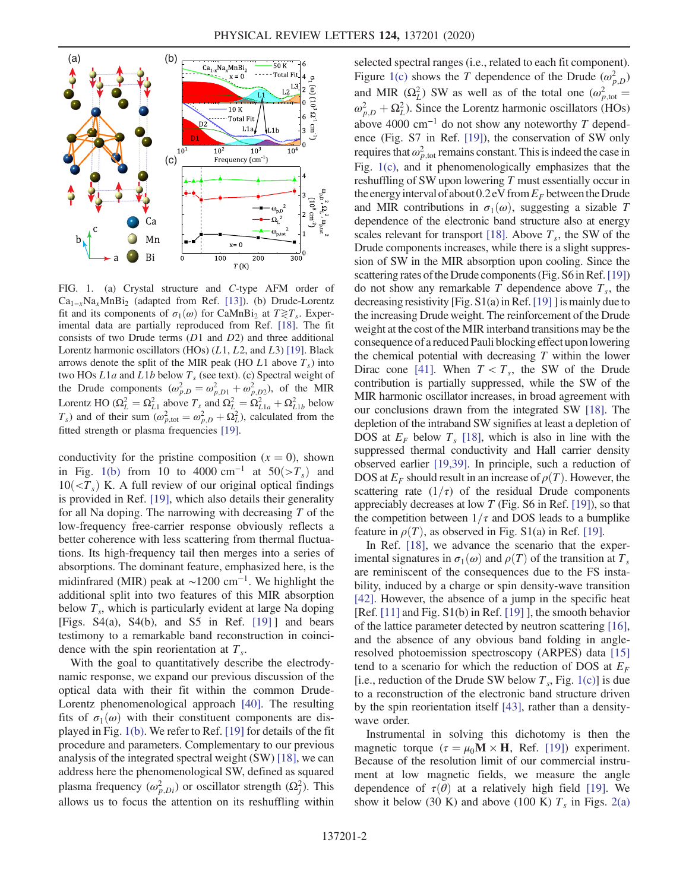<span id="page-1-0"></span>

FIG. 1. (a) Crystal structure and C-type AFM order of  $Ca_{1-x}Na_xMnBi_2$  (adapted from Ref. [\[13\]\)](#page-4-5). (b) Drude-Lorentz fit and its components of  $\sigma_1(\omega)$  for CaMnBi<sub>2</sub> at  $T \gtrless T_s$ . Experimental data are partially reproduced from Ref. [\[18\].](#page-4-9) The fit consists of two Drude terms  $(D1 \text{ and } D2)$  and three additional Lorentz harmonic oscillators  $(HOs)$   $(L1, L2, and L3)$  [\[19\]](#page-4-8). Black arrows denote the split of the MIR peak (HO L1 above  $T<sub>s</sub>$ ) into two HOs  $L1a$  and  $L1b$  below  $T<sub>s</sub>$  (see text). (c) Spectral weight of the Drude components  $(\omega_{p,D}^2 = \omega_{p,D1}^2 + \omega_{p,D2}^2)$ , of the MIR Lorentz HO ( $\Omega_L^2 = \Omega_{L1}^2$  above  $T_s$  and  $\Omega_L^2 = \Omega_{L1a}^2 + \Omega_{L1b}^2$  below  $T_s$ ) and of their sum  $(\omega_{p,\text{tot}}^2 = \omega_{p,D}^2 + \Omega_L^2)$ , calculated from the fitted strength or plasma frequencies [\[19\]](#page-4-8).

conductivity for the pristine composition  $(x = 0)$ , shown in Fig. [1\(b\)](#page-1-0) from 10 to 4000 cm<sup>-1</sup> at  $50(>=T_s)$  and  $10(<sub>T<sub>s</sub></sub>)$  K. A full review of our original optical findings is provided in Ref. [\[19\]](#page-4-8), which also details their generality for all Na doping. The narrowing with decreasing  $T$  of the low-frequency free-carrier response obviously reflects a better coherence with less scattering from thermal fluctuations. Its high-frequency tail then merges into a series of absorptions. The dominant feature, emphasized here, is the midinfrared (MIR) peak at  $\sim$ 1200 cm<sup>-1</sup>. We highlight the additional split into two features of this MIR absorption below  $T_s$ , which is particularly evident at large Na doping [Figs.  $S4(a)$ ,  $S4(b)$ , and  $S5$  in Ref. [\[19\]](#page-4-8)] and bears testimony to a remarkable band reconstruction in coincidence with the spin reorientation at  $T_s$ .

With the goal to quantitatively describe the electrodynamic response, we expand our previous discussion of the optical data with their fit within the common Drude-Lorentz phenomenological approach [\[40\].](#page-5-1) The resulting fits of  $\sigma_1(\omega)$  with their constituent components are displayed in Fig. [1\(b\).](#page-1-0) We refer to Ref. [\[19\]](#page-4-8) for details of the fit procedure and parameters. Complementary to our previous analysis of the integrated spectral weight (SW) [\[18\]](#page-4-9), we can address here the phenomenological SW, defined as squared plasma frequency  $(\omega_{p,Di}^2)$  or oscillator strength  $(\Omega_i^2)$ . This allows us to focus the attention on its reshuffling within selected spectral ranges (i.e., related to each fit component). Figure [1\(c\)](#page-1-0) shows the T dependence of the Drude  $(\omega_{n,D}^2)$ and MIR  $(\Omega_L^2)$  SW as well as of the total one  $(\omega_{p,\text{tot}}^2 =$  $\omega_{p,D}^2 + \Omega_L^2$ ). Since the Lorentz harmonic oscillators (HOs) above 4000 cm<sup>-1</sup> do not show any noteworthy T dependence (Fig. S7 in Ref. [\[19\]](#page-4-8)), the conservation of SW only requires that  $\omega_{p,\text{tot}}^2$  remains constant. This is indeed the case in Fig. [1\(c\),](#page-1-0) and it phenomenologically emphasizes that the reshuffling of SW upon lowering T must essentially occur in the energy interval of about  $0.2$  eV from  $E_F$  between the Drude and MIR contributions in  $\sigma_1(\omega)$ , suggesting a sizable T dependence of the electronic band structure also at energy scales relevant for transport [\[18\]](#page-4-9). Above  $T_s$ , the SW of the Drude components increases, while there is a slight suppression of SW in the MIR absorption upon cooling. Since the scattering rates of the Drude components (Fig. S6 in Ref. [\[19\]\)](#page-4-8) do not show any remarkable  $T$  dependence above  $T_s$ , the decreasing resistivity [Fig.  $S1(a)$  in Ref. [\[19\]](#page-4-8) ] is mainly due to the increasing Drude weight. The reinforcement of the Drude weight at the cost of the MIR interband transitions may be the consequence of a reduced Pauli blocking effect uponlowering the chemical potential with decreasing  $T$  within the lower Dirac cone [\[41\]](#page-5-2). When  $T < T_s$ , the SW of the Drude contribution is partially suppressed, while the SW of the MIR harmonic oscillator increases, in broad agreement with our conclusions drawn from the integrated SW [\[18\]](#page-4-9). The depletion of the intraband SW signifies at least a depletion of DOS at  $E_F$  below  $T_s$  [\[18\],](#page-4-9) which is also in line with the suppressed thermal conductivity and Hall carrier density observed earlier [\[19,39\]](#page-4-8). In principle, such a reduction of DOS at  $E_F$  should result in an increase of  $\rho(T)$ . However, the scattering rate  $(1/\tau)$  of the residual Drude components appreciably decreases at low  $T$  (Fig. S6 in Ref. [\[19\]\)](#page-4-8), so that the competition between  $1/\tau$  and DOS leads to a bumplike feature in  $\rho(T)$ , as observed in Fig. S1(a) in Ref. [\[19\]](#page-4-8).

In Ref. [\[18\]](#page-4-9), we advance the scenario that the experimental signatures in  $\sigma_1(\omega)$  and  $\rho(T)$  of the transition at  $T_s$ are reminiscent of the consequences due to the FS instability, induced by a charge or spin density-wave transition [\[42\]](#page-5-3). However, the absence of a jump in the specific heat [Ref. [\[11\]](#page-4-4) and Fig. S1(b) in Ref. [\[19\]](#page-4-8) ], the smooth behavior of the lattice parameter detected by neutron scattering [\[16\]](#page-4-7), and the absence of any obvious band folding in angleresolved photoemission spectroscopy (ARPES) data [\[15\]](#page-4-10) tend to a scenario for which the reduction of DOS at  $E_F$ [i.e., reduction of the Drude SW below  $T_s$ , Fig. [1\(c\)\]](#page-1-0) is due to a reconstruction of the electronic band structure driven by the spin reorientation itself [\[43\],](#page-5-4) rather than a densitywave order.

Instrumental in solving this dichotomy is then the magnetic torque ( $\tau = \mu_0 \mathbf{M} \times \mathbf{H}$ , Ref. [\[19\]\)](#page-4-8) experiment. Because of the resolution limit of our commercial instrument at low magnetic fields, we measure the angle dependence of  $\tau(\theta)$  at a relatively high field [\[19\]](#page-4-8). We show it below (30 K) and above (100 K)  $T_s$  in Figs. [2\(a\)](#page-2-0)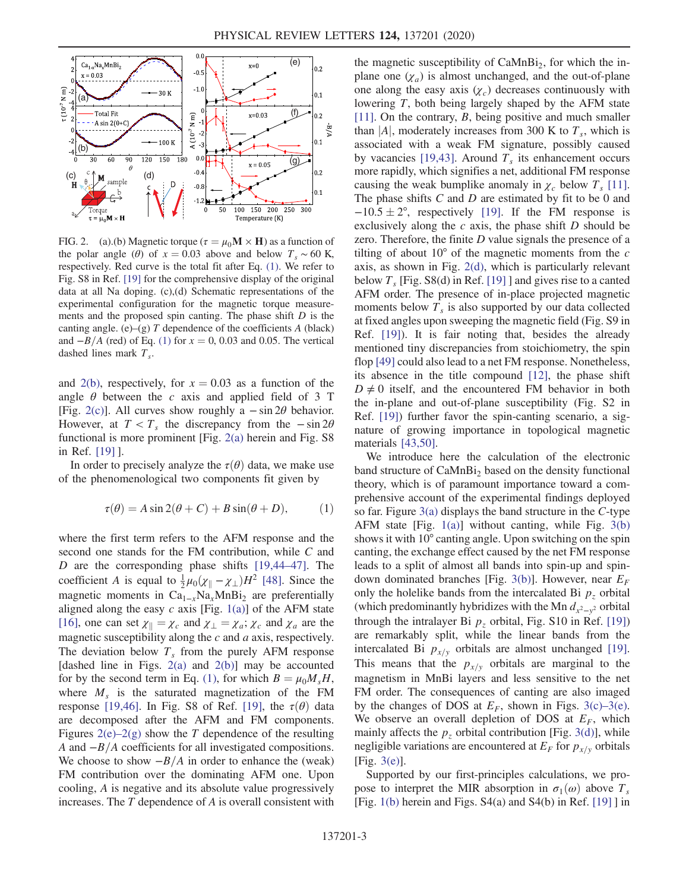<span id="page-2-0"></span>

FIG. 2. (a).(b) Magnetic torque ( $\tau = \mu_0 \mathbf{M} \times \mathbf{H}$ ) as a function of the polar angle ( $\theta$ ) of  $x = 0.03$  above and below  $T_s \sim 60$  K, respectively. Red curve is the total fit after Eq. [\(1\).](#page-2-1) We refer to Fig. S8 in Ref. [\[19\]](#page-4-8) for the comprehensive display of the original data at all Na doping. (c),(d) Schematic representations of the experimental configuration for the magnetic torque measurements and the proposed spin canting. The phase shift  $D$  is the canting angle. (e)–(g)  $T$  dependence of the coefficients  $A$  (black) and  $-B/A$  (red) of Eq. [\(1\)](#page-2-1) for  $x = 0$ , 0.03 and 0.05. The vertical dashed lines mark  $T_s$ .

and [2\(b\),](#page-2-0) respectively, for  $x = 0.03$  as a function of the angle  $\theta$  between the c axis and applied field of 3 T [Fig. [2\(c\)](#page-2-0)]. All curves show roughly a  $-\sin 2\theta$  behavior. However, at  $T < T_s$  the discrepancy from the  $-\sin 2\theta$ functional is more prominent [Fig. [2\(a\)](#page-2-0) herein and Fig. S8 in Ref. [\[19\]](#page-4-8) ].

<span id="page-2-1"></span>In order to precisely analyze the  $\tau(\theta)$  data, we make use of the phenomenological two components fit given by

$$
\tau(\theta) = A \sin 2(\theta + C) + B \sin(\theta + D), \tag{1}
$$

where the first term refers to the AFM response and the second one stands for the FM contribution, while C and D are the corresponding phase shifts [\[19,44](#page-4-8)–47]. The coefficient A is equal to  $\frac{1}{2}\mu_0(\chi_{\parallel} - \chi_{\perp})H^2$  [\[48\]](#page-5-5). Since the magnetic moments in  $Ca_{1-x}Na_xMnBi_2$  are preferentially aligned along the easy  $c$  axis [Fig. [1\(a\)\]](#page-1-0) of the AFM state [\[16\]](#page-4-7), one can set  $\chi_{\parallel} = \chi_c$  and  $\chi_{\perp} = \chi_a$ ;  $\chi_c$  and  $\chi_a$  are the magnetic susceptibility along the  $c$  and  $a$  axis, respectively. The deviation below  $T<sub>s</sub>$  from the purely AFM response [dashed line in Figs.  $2(a)$  and  $2(b)$ ] may be accounted for by the second term in Eq. [\(1\)](#page-2-1), for which  $B = \mu_0 M_s H$ , where  $M<sub>s</sub>$  is the saturated magnetization of the FM response [\[19,46\]](#page-4-8). In Fig. S8 of Ref. [\[19\],](#page-4-8) the  $\tau(\theta)$  data are decomposed after the AFM and FM components. Figures  $2(e)-2(g)$  $2(e)-2(g)$  show the T dependence of the resulting A and  $-B/A$  coefficients for all investigated compositions. We choose to show  $-B/A$  in order to enhance the (weak) FM contribution over the dominating AFM one. Upon cooling, A is negative and its absolute value progressively increases. The T dependence of A is overall consistent with the magnetic susceptibility of  $CaMnBi<sub>2</sub>$ , for which the inplane one  $(\chi_a)$  is almost unchanged, and the out-of-plane one along the easy axis  $(\chi_c)$  decreases continuously with lowering T, both being largely shaped by the AFM state [\[11\]](#page-4-4). On the contrary, B, being positive and much smaller than |A|, moderately increases from 300 K to  $T_s$ , which is associated with a weak FM signature, possibly caused by vacancies [\[19,43\].](#page-4-8) Around  $T<sub>s</sub>$  its enhancement occurs more rapidly, which signifies a net, additional FM response causing the weak bumplike anomaly in  $\chi_c$  below  $T_s$  [\[11\]](#page-4-4). The phase shifts  $C$  and  $D$  are estimated by fit to be 0 and  $-10.5 \pm 2^{\circ}$ , respectively [\[19\]](#page-4-8). If the FM response is exclusively along the  $c$  axis, the phase shift  $D$  should be zero. Therefore, the finite  $D$  value signals the presence of a tilting of about  $10^{\circ}$  of the magnetic moments from the c axis, as shown in Fig. [2\(d\)](#page-2-0), which is particularly relevant below  $T_s$  [Fig. S8(d) in Ref. [\[19\]](#page-4-8) ] and gives rise to a canted AFM order. The presence of in-place projected magnetic moments below  $T_s$  is also supported by our data collected at fixed angles upon sweeping the magnetic field (Fig. S9 in Ref. [\[19\]](#page-4-8)). It is fair noting that, besides the already mentioned tiny discrepancies from stoichiometry, the spin flop [\[49\]](#page-5-6) could also lead to a net FM response. Nonetheless, its absence in the title compound [\[12\],](#page-4-11) the phase shift  $D \neq 0$  itself, and the encountered FM behavior in both the in-plane and out-of-plane susceptibility (Fig. S2 in Ref. [\[19\]](#page-4-8)) further favor the spin-canting scenario, a signature of growing importance in topological magnetic materials [\[43,50\].](#page-5-4)

We introduce here the calculation of the electronic band structure of CaMnBi<sub>2</sub> based on the density functional theory, which is of paramount importance toward a comprehensive account of the experimental findings deployed so far. Figure  $3(a)$  displays the band structure in the C-type AFM state [Fig. [1\(a\)\]](#page-1-0) without canting, while Fig. [3\(b\)](#page-3-0) shows it with 10° canting angle. Upon switching on the spin canting, the exchange effect caused by the net FM response leads to a split of almost all bands into spin-up and spin-down dominated branches [Fig. [3\(b\)](#page-3-0)]. However, near  $E_F$ only the holelike bands from the intercalated Bi  $p<sub>z</sub>$  orbital (which predominantly hybridizes with the Mn  $d_{x^2-y^2}$  orbital through the intralayer Bi  $p<sub>z</sub>$  orbital, Fig. S10 in Ref. [\[19\]\)](#page-4-8) are remarkably split, while the linear bands from the intercalated Bi  $p_{x/y}$  orbitals are almost unchanged [\[19\]](#page-4-8). This means that the  $p_{x/y}$  orbitals are marginal to the magnetism in MnBi layers and less sensitive to the net FM order. The consequences of canting are also imaged by the changes of DOS at  $E_F$ , shown in Figs. [3\(c\)](#page-3-0)–3(e). We observe an overall depletion of DOS at  $E_F$ , which mainly affects the  $p<sub>z</sub>$  orbital contribution [Fig. [3\(d\)](#page-3-0)], while negligible variations are encountered at  $E_F$  for  $p_{x/v}$  orbitals [Fig. [3\(e\)](#page-3-0)].

Supported by our first-principles calculations, we propose to interpret the MIR absorption in  $\sigma_1(\omega)$  above  $T_s$ [Fig. [1\(b\)](#page-1-0) herein and Figs. S4(a) and S4(b) in Ref. [\[19\]](#page-4-8) ] in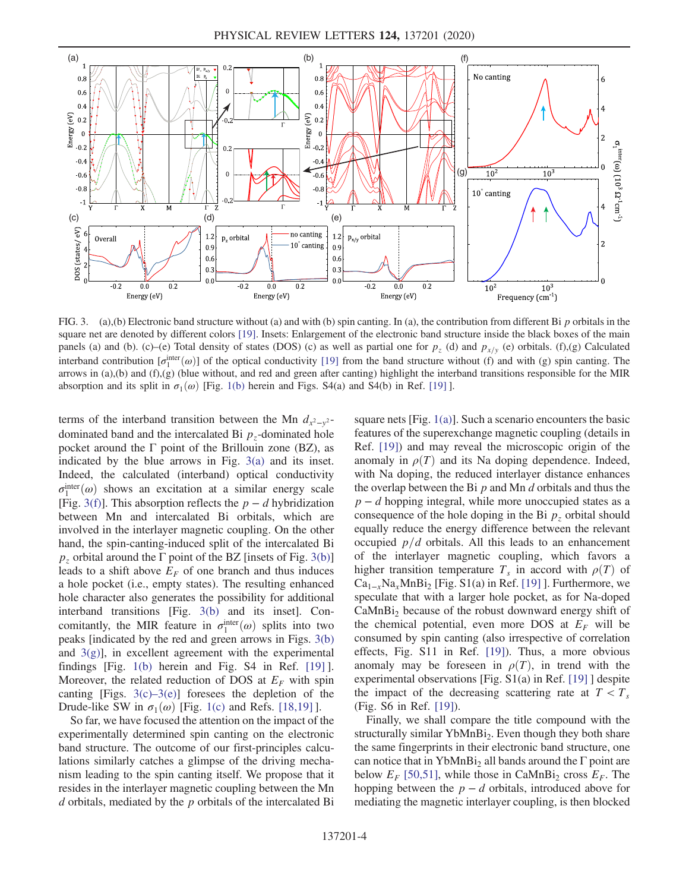<span id="page-3-0"></span>

FIG. 3. (a),(b) Electronic band structure without (a) and with (b) spin canting. In (a), the contribution from different Bi p orbitals in the square net are denoted by different colors [\[19\]](#page-4-8). Insets: Enlargement of the electronic band structure inside the black boxes of the main panels (a) and (b). (c)–(e) Total density of states (DOS) (c) as well as partial one for  $p_z$  (d) and  $p_{x/y}$  (e) orbitals. (f),(g) Calculated interband contribution  $[\sigma_1^{\text{inter}}(\omega)]$  of the optical conductivity [\[19\]](#page-4-8) from the band structure without (f) and with (g) spin canting. The arrows in (a),(b) and (f),(g) (blue without, and red and green after canting) highlight the interband transitions responsible for the MIR absorption and its split in  $\sigma_1(\omega)$  [Fig. [1\(b\)](#page-1-0) herein and Figs. S4(a) and S4(b) in Ref. [\[19\]](#page-4-8) ].

terms of the interband transition between the Mn  $d_{x^2-y^2}$ dominated band and the intercalated Bi  $p<sub>z</sub>$ -dominated hole pocket around the  $\Gamma$  point of the Brillouin zone (BZ), as indicated by the blue arrows in Fig. [3\(a\)](#page-3-0) and its inset. Indeed, the calculated (interband) optical conductivity  $\sigma_1^{\text{inter}}(\omega)$  shows an excitation at a similar energy scale [Fig. [3\(f\)](#page-3-0)]. This absorption reflects the  $p - d$  hybridization between Mn and intercalated Bi orbitals, which are involved in the interlayer magnetic coupling. On the other hand, the spin-canting-induced split of the intercalated Bi  $p<sub>z</sub>$  orbital around the  $\Gamma$  point of the BZ [insets of Fig. [3\(b\)\]](#page-3-0) leads to a shift above  $E_F$  of one branch and thus induces a hole pocket (i.e., empty states). The resulting enhanced hole character also generates the possibility for additional interband transitions [Fig. [3\(b\)](#page-3-0) and its inset]. Concomitantly, the MIR feature in  $\sigma_1^{\text{inter}}(\omega)$  splits into two peaks [indicated by the red and green arrows in Figs. [3\(b\)](#page-3-0) and  $3(g)$ ], in excellent agreement with the experimental findings [Fig. [1\(b\)](#page-1-0) herein and Fig. S4 in Ref. [\[19\]](#page-4-8) ]. Moreover, the related reduction of DOS at  $E_F$  with spin canting [Figs.  $3(c) - 3(e)$ ] foresees the depletion of the Drude-like SW in  $\sigma_1(\omega)$  [Fig. [1\(c\)](#page-1-0) and Refs. [\[18,19\]](#page-4-9) ].

So far, we have focused the attention on the impact of the experimentally determined spin canting on the electronic band structure. The outcome of our first-principles calculations similarly catches a glimpse of the driving mechanism leading to the spin canting itself. We propose that it resides in the interlayer magnetic coupling between the Mn  $d$  orbitals, mediated by the  $p$  orbitals of the intercalated Bi square nets [Fig. [1\(a\)\]](#page-1-0). Such a scenario encounters the basic features of the superexchange magnetic coupling (details in Ref. [\[19\]](#page-4-8)) and may reveal the microscopic origin of the anomaly in  $\rho(T)$  and its Na doping dependence. Indeed, with Na doping, the reduced interlayer distance enhances the overlap between the Bi  $p$  and Mn  $d$  orbitals and thus the  $p - d$  hopping integral, while more unoccupied states as a consequence of the hole doping in the Bi  $p<sub>z</sub>$  orbital should equally reduce the energy difference between the relevant occupied  $p/d$  orbitals. All this leads to an enhancement of the interlayer magnetic coupling, which favors a higher transition temperature  $T_s$  in accord with  $\rho(T)$  of  $Ca_{1-x}Na_xMnBi_2$  [Fig. S1(a) in Ref. [\[19\]](#page-4-8) ]. Furthermore, we speculate that with a larger hole pocket, as for Na-doped  $CaMnBi<sub>2</sub>$  because of the robust downward energy shift of the chemical potential, even more DOS at  $E_F$  will be consumed by spin canting (also irrespective of correlation effects, Fig. S11 in Ref. [\[19\]\)](#page-4-8). Thus, a more obvious anomaly may be foreseen in  $\rho(T)$ , in trend with the experimental observations [Fig. S1(a) in Ref. [\[19\]](#page-4-8) ] despite the impact of the decreasing scattering rate at  $T < T_s$ (Fig. S6 in Ref. [\[19\]](#page-4-8)).

Finally, we shall compare the title compound with the structurally similar YbMnBi<sub>2</sub>. Even though they both share the same fingerprints in their electronic band structure, one can notice that in YbMnBi<sub>2</sub> all bands around the  $\Gamma$  point are below  $E_F$  [\[50,51\]](#page-5-7), while those in CaMnBi<sub>2</sub> cross  $E_F$ . The hopping between the  $p - d$  orbitals, introduced above for mediating the magnetic interlayer coupling, is then blocked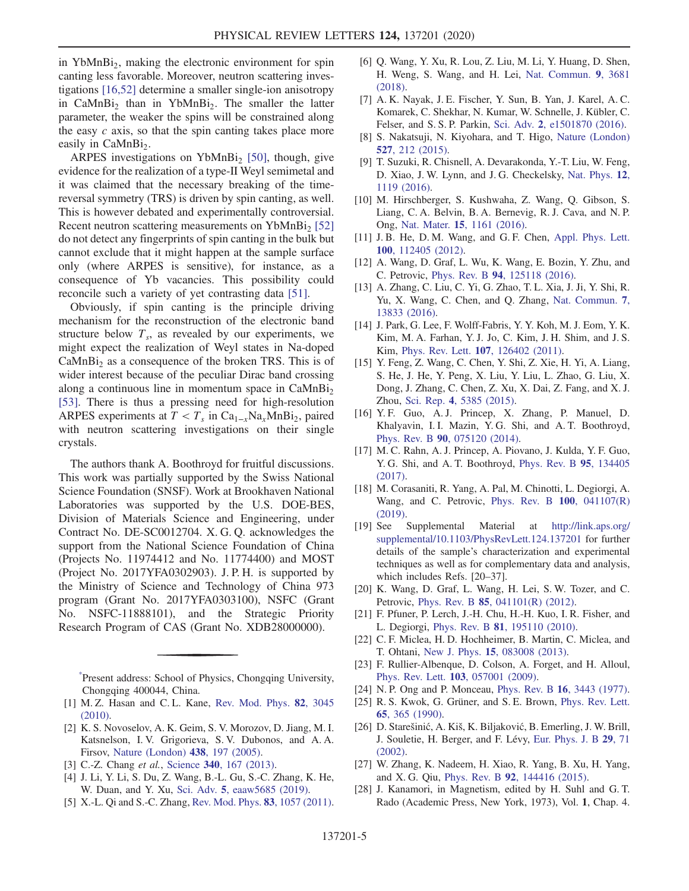in  $YbMnBi<sub>2</sub>$ , making the electronic environment for spin canting less favorable. Moreover, neutron scattering investigations [\[16,52\]](#page-4-7) determine a smaller single-ion anisotropy in  $CaMnBi<sub>2</sub>$  than in YbMnBi<sub>2</sub>. The smaller the latter parameter, the weaker the spins will be constrained along the easy  $c$  axis, so that the spin canting takes place more easily in CaMnBi<sub>2</sub>.

ARPES investigations on YbMnBi<sub>2</sub> [\[50\]](#page-5-7), though, give evidence for the realization of a type-II Weyl semimetal and it was claimed that the necessary breaking of the timereversal symmetry (TRS) is driven by spin canting, as well. This is however debated and experimentally controversial. Recent neutron scattering measurements on YbMnBi<sub>2</sub> [\[52\]](#page-5-8) do not detect any fingerprints of spin canting in the bulk but cannot exclude that it might happen at the sample surface only (where ARPES is sensitive), for instance, as a consequence of Yb vacancies. This possibility could reconcile such a variety of yet contrasting data [\[51\]](#page-5-9).

Obviously, if spin canting is the principle driving mechanism for the reconstruction of the electronic band structure below  $T_s$ , as revealed by our experiments, we might expect the realization of Weyl states in Na-doped  $CaMnBi<sub>2</sub>$  as a consequence of the broken TRS. This is of wider interest because of the peculiar Dirac band crossing along a continuous line in momentum space in  $CaMnBi<sub>2</sub>$ [\[53\]](#page-5-10). There is thus a pressing need for high-resolution ARPES experiments at  $T < T_s$  in Ca<sub>1−x</sub>Na<sub>x</sub>MnBi<sub>2</sub>, paired with neutron scattering investigations on their single crystals.

The authors thank A. Boothroyd for fruitful discussions. This work was partially supported by the Swiss National Science Foundation (SNSF). Work at Brookhaven National Laboratories was supported by the U.S. DOE-BES, Division of Materials Science and Engineering, under Contract No. DE-SC0012704. X. G. Q. acknowledges the support from the National Science Foundation of China (Projects No. 11974412 and No. 11774400) and MOST (Project No. 2017YFA0302903). J. P. H. is supported by the Ministry of Science and Technology of China 973 program (Grant No. 2017YFA0303100), NSFC (Grant No. NSFC-11888101), and the Strategic Priority Research Program of CAS (Grant No. XDB28000000).

<span id="page-4-0"></span>[\\*](#page-0-0) Present address: School of Physics, Chongqing University, Chongqing 400044, China.

- <span id="page-4-1"></span>[1] M. Z. Hasan and C. L. Kane, [Rev. Mod. Phys.](https://doi.org/10.1103/RevModPhys.82.3045) 82, 3045 [\(2010\).](https://doi.org/10.1103/RevModPhys.82.3045)
- [2] K. S. Novoselov, A. K. Geim, S. V. Morozov, D. Jiang, M. I. Katsnelson, I. V. Grigorieva, S. V. Dubonos, and A. A. Firsov, [Nature \(London\)](https://doi.org/10.1038/nature04233) 438, 197 (2005).
- [3] C.-Z. Chang et al., Science 340[, 167 \(2013\).](https://doi.org/10.1126/science.1234414)
- [4] J. Li, Y. Li, S. Du, Z. Wang, B.-L. Gu, S.-C. Zhang, K. He, W. Duan, and Y. Xu, Sci. Adv. 5[, eaaw5685 \(2019\).](https://doi.org/10.1126/sciadv.aaw5685)
- [5] X.-L. Qi and S.-C. Zhang, [Rev. Mod. Phys.](https://doi.org/10.1103/RevModPhys.83.1057) 83, 1057 (2011).
- [6] Q. Wang, Y. Xu, R. Lou, Z. Liu, M. Li, Y. Huang, D. Shen, H. Weng, S. Wang, and H. Lei, [Nat. Commun.](https://doi.org/10.1038/s41467-018-06088-2) 9, 3681 [\(2018\).](https://doi.org/10.1038/s41467-018-06088-2)
- <span id="page-4-2"></span>[7] A. K. Nayak, J. E. Fischer, Y. Sun, B. Yan, J. Karel, A. C. Komarek, C. Shekhar, N. Kumar, W. Schnelle, J. Kübler, C. Felser, and S. S. P. Parkin, Sci. Adv. 2[, e1501870 \(2016\).](https://doi.org/10.1126/sciadv.1501870)
- [8] S. Nakatsuji, N. Kiyohara, and T. Higo, [Nature \(London\)](https://doi.org/10.1038/nature15723) 527[, 212 \(2015\)](https://doi.org/10.1038/nature15723).
- <span id="page-4-3"></span>[9] T. Suzuki, R. Chisnell, A. Devarakonda, Y.-T. Liu, W. Feng, D. Xiao, J. W. Lynn, and J. G. Checkelsky, [Nat. Phys.](https://doi.org/10.1038/nphys3831) 12, [1119 \(2016\)](https://doi.org/10.1038/nphys3831).
- [10] M. Hirschberger, S. Kushwaha, Z. Wang, Q. Gibson, S. Liang, C. A. Belvin, B. A. Bernevig, R. J. Cava, and N. P. Ong, Nat. Mater. 15[, 1161 \(2016\)](https://doi.org/10.1038/nmat4684).
- <span id="page-4-4"></span>[11] J. B. He, D. M. Wang, and G. F. Chen, [Appl. Phys. Lett.](https://doi.org/10.1063/1.3694760) 100[, 112405 \(2012\).](https://doi.org/10.1063/1.3694760)
- <span id="page-4-11"></span>[12] A. Wang, D. Graf, L. Wu, K. Wang, E. Bozin, Y. Zhu, and C. Petrovic, Phys. Rev. B 94[, 125118 \(2016\).](https://doi.org/10.1103/PhysRevB.94.125118)
- <span id="page-4-5"></span>[13] A. Zhang, C. Liu, C. Yi, G. Zhao, T. L. Xia, J. Ji, Y. Shi, R. Yu, X. Wang, C. Chen, and Q. Zhang, [Nat. Commun.](https://doi.org/10.1038/ncomms13833) 7, [13833 \(2016\).](https://doi.org/10.1038/ncomms13833)
- <span id="page-4-6"></span>[14] J. Park, G. Lee, F. Wolff-Fabris, Y. Y. Koh, M. J. Eom, Y. K. Kim, M. A. Farhan, Y. J. Jo, C. Kim, J. H. Shim, and J. S. Kim, Phys. Rev. Lett. 107[, 126402 \(2011\)](https://doi.org/10.1103/PhysRevLett.107.126402).
- <span id="page-4-10"></span>[15] Y. Feng, Z. Wang, C. Chen, Y. Shi, Z. Xie, H. Yi, A. Liang, S. He, J. He, Y. Peng, X. Liu, Y. Liu, L. Zhao, G. Liu, X. Dong, J. Zhang, C. Chen, Z. Xu, X. Dai, Z. Fang, and X. J. Zhou, Sci. Rep. 4[, 5385 \(2015\)](https://doi.org/10.1038/srep05385).
- <span id="page-4-7"></span>[16] Y. F. Guo, A. J. Princep, X. Zhang, P. Manuel, D. Khalyavin, I. I. Mazin, Y. G. Shi, and A. T. Boothroyd, Phys. Rev. B 90[, 075120 \(2014\).](https://doi.org/10.1103/PhysRevB.90.075120)
- [17] M. C. Rahn, A. J. Princep, A. Piovano, J. Kulda, Y. F. Guo, Y. G. Shi, and A. T. Boothroyd, [Phys. Rev. B](https://doi.org/10.1103/PhysRevB.95.134405) 95, 134405 [\(2017\).](https://doi.org/10.1103/PhysRevB.95.134405)
- <span id="page-4-9"></span>[18] M. Corasaniti, R. Yang, A. Pal, M. Chinotti, L. Degiorgi, A. Wang, and C. Petrovic, [Phys. Rev. B](https://doi.org/10.1103/PhysRevB.100.041107) 100, 041107(R) [\(2019\).](https://doi.org/10.1103/PhysRevB.100.041107)
- <span id="page-4-8"></span>[19] See Supplemental Material at [http://link.aps.org/](http://link.aps.org/supplemental/10.1103/PhysRevLett.124.137201) [supplemental/10.1103/PhysRevLett.124.137201](http://link.aps.org/supplemental/10.1103/PhysRevLett.124.137201) for further details of the sample's characterization and experimental techniques as well as for complementary data and analysis, which includes Refs. [20–37].
- [20] K. Wang, D. Graf, L. Wang, H. Lei, S. W. Tozer, and C. Petrovic, Phys. Rev. B 85[, 041101\(R\) \(2012\)](https://doi.org/10.1103/PhysRevB.85.041101).
- [21] F. Pfuner, P. Lerch, J.-H. Chu, H.-H. Kuo, I. R. Fisher, and L. Degiorgi, Phys. Rev. B 81[, 195110 \(2010\)](https://doi.org/10.1103/PhysRevB.81.195110).
- [22] C. F. Miclea, H. D. Hochheimer, B. Martin, C. Miclea, and T. Ohtani, New J. Phys. 15[, 083008 \(2013\).](https://doi.org/10.1088/1367-2630/15/8/083008)
- [23] F. Rullier-Albenque, D. Colson, A. Forget, and H. Alloul, Phys. Rev. Lett. 103[, 057001 \(2009\).](https://doi.org/10.1103/PhysRevLett.103.057001)
- [24] N. P. Ong and P. Monceau, Phys. Rev. B 16[, 3443 \(1977\).](https://doi.org/10.1103/PhysRevB.16.3443)
- [25] R. S. Kwok, G. Grüner, and S. E. Brown, [Phys. Rev. Lett.](https://doi.org/10.1103/PhysRevLett.65.365) 65[, 365 \(1990\).](https://doi.org/10.1103/PhysRevLett.65.365)
- [26] D. Starešinić, A. Kiš, K. Biljaković, B. Emerling, J. W. Brill, J. Souletie, H. Berger, and F. Lévy, [Eur. Phys. J. B](https://doi.org/10.1140/epjb/e2002-00263-1) 29, 71  $(2002)$
- [27] W. Zhang, K. Nadeem, H. Xiao, R. Yang, B. Xu, H. Yang, and X. G. Qiu, Phys. Rev. B 92[, 144416 \(2015\)](https://doi.org/10.1103/PhysRevB.92.144416).
- [28] J. Kanamori, in Magnetism, edited by H. Suhl and G. T. Rado (Academic Press, New York, 1973), Vol. 1, Chap. 4.